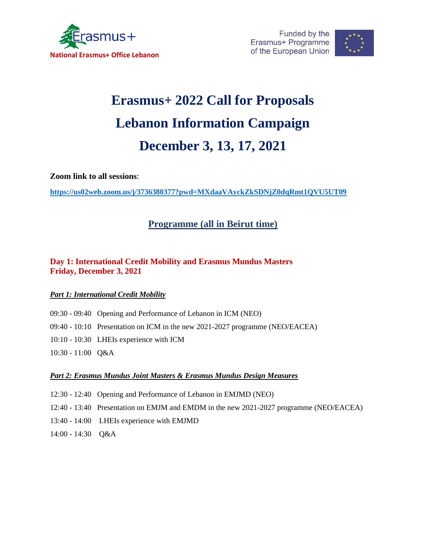



# **Erasmus+ 2022 Call for Proposals Lebanon Information Campaign December 3, 13, 17, 2021**

**Zoom link to all sessions**:

**<https://us02web.zoom.us/j/3736380377?pwd=MXdaaVAyckZkSDNjZ0dqRmt1QVU5UT09>**

## **Programme (all in Beirut time)**

## **Day 1: International Credit Mobility and Erasmus Mundus Masters Friday, December 3, 2021**

### *Part 1: International Credit Mobility*

- 09:30 09:40 Opening and Performance of Lebanon in ICM (NEO)
- 09:40 10:10 Presentation on ICM in the new 2021-2027 programme (NEO/EACEA)
- 10:10 10:30 LHEIs experience with ICM
- 10:30 11:00 Q&A

#### *Part 2: Erasmus Mundus Joint Masters & Erasmus Mundus Design Measures*

- 12:30 12:40 Opening and Performance of Lebanon in EMJMD (NEO)
- 12:40 13:40 Presentation on EMJM and EMDM in the new 2021-2027 programme (NEO/EACEA)
- 13:40 14:00 LHEIs experience with EMJMD
- 14:00 14:30 Q&A